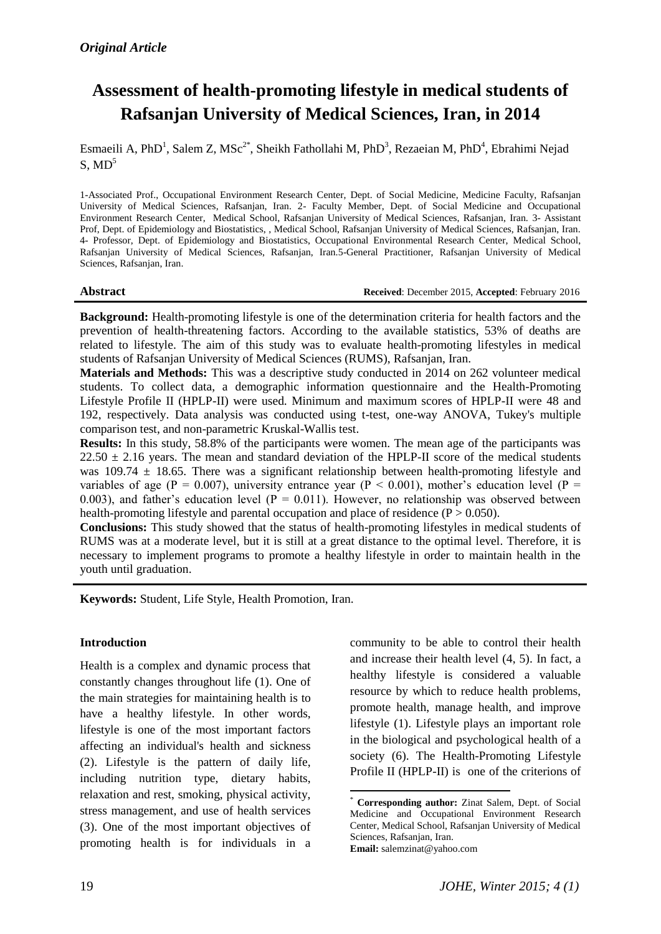# **Assessment of health-promoting lifestyle in medical students of Rafsanjan University of Medical Sciences, Iran, in 2014**

Esmaeili A, PhD<sup>1</sup>, Salem Z, MSc<sup>2\*</sup>, Sheikh Fathollahi M, PhD<sup>3</sup>, Rezaeian M, PhD<sup>4</sup>, Ebrahimi Nejad  $S, MD<sup>5</sup>$ 

1-Associated Prof., Occupational Environment Research Center, Dept. of Social Medicine, Medicine Faculty, Rafsanjan University of Medical Sciences, Rafsanjan, Iran. 2- Faculty Member, Dept. of Social Medicine and Occupational Environment Research Center, Medical School, Rafsanjan University of Medical Sciences, Rafsanjan, Iran. 3- Assistant Prof, Dept. of Epidemiology and Biostatistics, , Medical School, Rafsanjan University of Medical Sciences, Rafsanjan, Iran. 4- Professor, Dept. of Epidemiology and Biostatistics, Occupational Environmental Research Center, Medical School, Rafsanjan University of Medical Sciences, Rafsanjan, Iran.5-General Practitioner, Rafsanjan University of Medical Sciences, Rafsanjan, Iran.

#### **Abstract Received**: December 2015, **Accepted**: February 2016

**Background:** Health-promoting lifestyle is one of the determination criteria for health factors and the prevention of health-threatening factors. According to the available statistics, 53% of deaths are related to lifestyle. The aim of this study was to evaluate health-promoting lifestyles in medical students of Rafsanjan University of Medical Sciences (RUMS), Rafsanjan, Iran.

**Materials and Methods:** This was a descriptive study conducted in 2014 on 262 volunteer medical students. To collect data, a demographic information questionnaire and the Health-Promoting Lifestyle Profile II (HPLP-II) were used. Minimum and maximum scores of HPLP-II were 48 and 192, respectively. Data analysis was conducted using t-test, one-way ANOVA, Tukey's multiple comparison test, and non-parametric Kruskal-Wallis test.

**Results:** In this study, 58.8% of the participants were women. The mean age of the participants was  $22.50 \pm 2.16$  years. The mean and standard deviation of the HPLP-II score of the medical students was 109.74  $\pm$  18.65. There was a significant relationship between health-promoting lifestyle and variables of age (P = 0.007), university entrance year (P < 0.001), mother's education level (P = 0.003), and father's education level ( $P = 0.011$ ). However, no relationship was observed between health-promoting lifestyle and parental occupation and place of residence  $(P > 0.050)$ .

**Conclusions:** This study showed that the status of health-promoting lifestyles in medical students of RUMS was at a moderate level, but it is still at a great distance to the optimal level. Therefore, it is necessary to implement programs to promote a healthy lifestyle in order to maintain health in the youth until graduation.

**Keywords:** Student, Life Style, Health Promotion, Iran.

## **Introduction**

Health is a complex and dynamic process that constantly changes throughout life (1). One of the main strategies for maintaining health is to have a healthy lifestyle. In other words, lifestyle is one of the most important factors affecting an individual's health and sickness (2). Lifestyle is the pattern of daily life, including nutrition type, dietary habits, relaxation and rest, smoking, physical activity, stress management, and use of health services (3). One of the most important objectives of promoting health is for individuals in a community to be able to control their health and increase their health level (4, 5). In fact, a healthy lifestyle is considered a valuable resource by which to reduce health problems, promote health, manage health, and improve lifestyle (1). Lifestyle plays an important role in the biological and psychological health of a society (6). The Health-Promoting Lifestyle Profile II (HPLP-II) is one of the criterions of

<sup>1</sup> \* **Corresponding author:** Zinat Salem, Dept. of Social Medicine and Occupational Environment Research Center, Medical School, Rafsanjan University of Medical Sciences, Rafsanjan, Iran. **Email:** [salemzinat@yahoo.com](mailto:salemzinat@yahoo.com)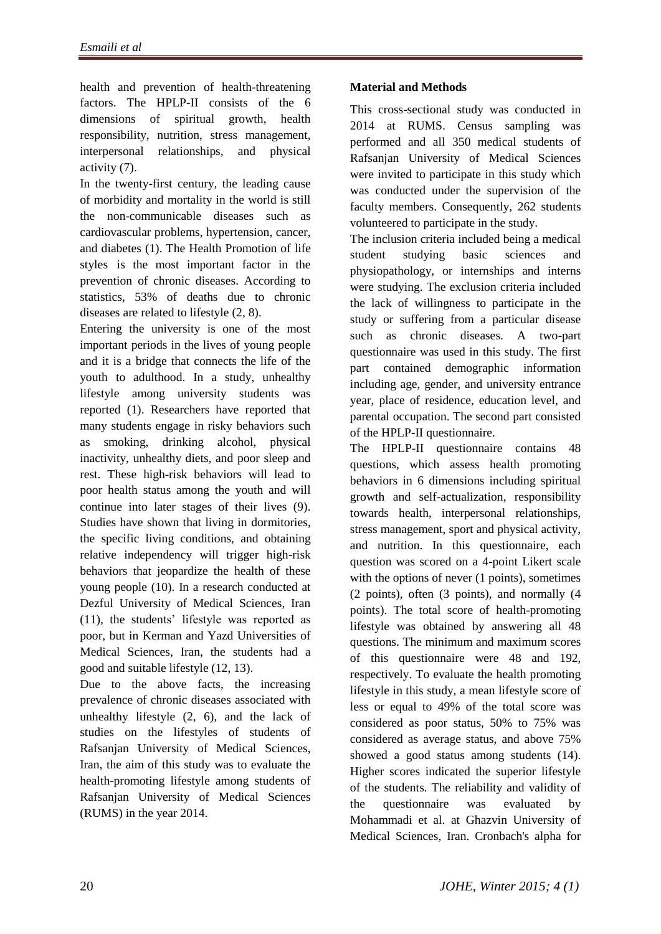health and prevention of health-threatening factors. The HPLP-II consists of the 6 dimensions of spiritual growth, health responsibility, nutrition, stress management, interpersonal relationships, and physical activity (7).

In the twenty-first century, the leading cause of morbidity and mortality in the world is still the non-communicable diseases such as cardiovascular problems, hypertension, cancer, and diabetes (1). The Health Promotion of life styles is the most important factor in the prevention of chronic diseases. According to statistics, 53% of deaths due to chronic diseases are related to lifestyle (2, 8).

Entering the university is one of the most important periods in the lives of young people and it is a bridge that connects the life of the youth to adulthood. In a study, unhealthy lifestyle among university students was reported (1). Researchers have reported that many students engage in risky behaviors such as smoking, drinking alcohol, physical inactivity, unhealthy diets, and poor sleep and rest. These high-risk behaviors will lead to poor health status among the youth and will continue into later stages of their lives (9). Studies have shown that living in dormitories, the specific living conditions, and obtaining relative independency will trigger high-risk behaviors that jeopardize the health of these young people (10). In a research conducted at Dezful University of Medical Sciences, Iran (11), the students' lifestyle was reported as poor, but in Kerman and Yazd Universities of Medical Sciences, Iran, the students had a good and suitable lifestyle (12, 13).

Due to the above facts, the increasing prevalence of chronic diseases associated with unhealthy lifestyle (2, 6), and the lack of studies on the lifestyles of students of Rafsanjan University of Medical Sciences, Iran, the aim of this study was to evaluate the health-promoting lifestyle among students of Rafsanjan University of Medical Sciences (RUMS) in the year 2014.

# **Material and Methods**

This cross-sectional study was conducted in 2014 at RUMS. Census sampling was performed and all 350 medical students of Rafsanjan University of Medical Sciences were invited to participate in this study which was conducted under the supervision of the faculty members. Consequently, 262 students volunteered to participate in the study.

The inclusion criteria included being a medical student studying basic sciences and physiopathology, or internships and interns were studying. The exclusion criteria included the lack of willingness to participate in the study or suffering from a particular disease such as chronic diseases. A two-part questionnaire was used in this study. The first part contained demographic information including age, gender, and university entrance year, place of residence, education level, and parental occupation. The second part consisted of the HPLP-II questionnaire.

The HPLP-II questionnaire contains 48 questions, which assess health promoting behaviors in 6 dimensions including spiritual growth and self-actualization, responsibility towards health, interpersonal relationships, stress management, sport and physical activity, and nutrition. In this questionnaire, each question was scored on a 4-point Likert scale with the options of never (1 points), sometimes (2 points), often (3 points), and normally (4 points). The total score of health-promoting lifestyle was obtained by answering all 48 questions. The minimum and maximum scores of this questionnaire were 48 and 192, respectively. To evaluate the health promoting lifestyle in this study, a mean lifestyle score of less or equal to 49% of the total score was considered as poor status, 50% to 75% was considered as average status, and above 75% showed a good status among students (14). Higher scores indicated the superior lifestyle of the students. The reliability and validity of the questionnaire was evaluated by Mohammadi et al. at Ghazvin University of Medical Sciences, Iran. Cronbach's alpha for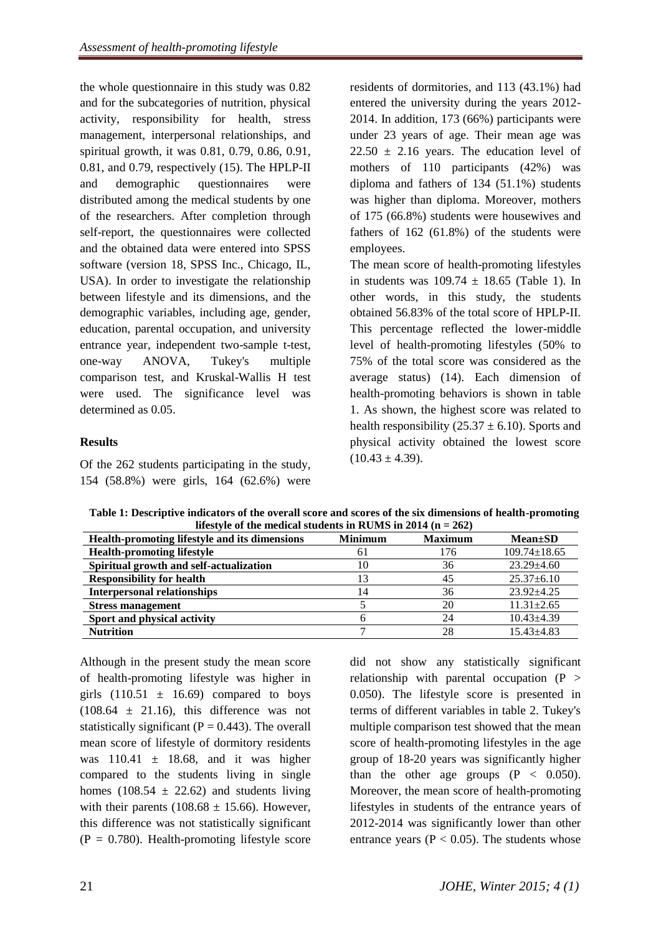the whole questionnaire in this study was 0.82 and for the subcategories of nutrition, physical activity, responsibility for health, stress management, interpersonal relationships, and spiritual growth, it was 0.81, 0.79, 0.86, 0.91, 0.81, and 0.79, respectively (15). The HPLP-II and demographic questionnaires were distributed among the medical students by one of the researchers. After completion through self-report, the questionnaires were collected and the obtained data were entered into SPSS software (version 18, SPSS Inc., Chicago, IL, USA). In order to investigate the relationship between lifestyle and its dimensions, and the demographic variables, including age, gender, education, parental occupation, and university entrance year, independent two-sample t-test, one-way ANOVA, Tukey's multiple comparison test, and Kruskal-Wallis H test were used. The significance level was determined as 0.05.

# **Results**

Of the 262 students participating in the study, 154 (58.8%) were girls, 164 (62.6%) were residents of dormitories, and 113 (43.1%) had entered the university during the years 2012- 2014. In addition, 173 (66%) participants were under 23 years of age. Their mean age was  $22.50 \pm 2.16$  years. The education level of mothers of 110 participants (42%) was diploma and fathers of 134 (51.1%) students was higher than diploma. Moreover, mothers of 175 (66.8%) students were housewives and fathers of 162 (61.8%) of the students were employees.

The mean score of health-promoting lifestyles in students was  $109.74 \pm 18.65$  (Table 1). In other words, in this study, the students obtained 56.83% of the total score of HPLP-II. This percentage reflected the lower-middle level of health-promoting lifestyles (50% to 75% of the total score was considered as the average status) (14). Each dimension of health-promoting behaviors is shown in table 1. As shown, the highest score was related to health responsibility  $(25.37 \pm 6.10)$ . Sports and physical activity obtained the lowest score  $(10.43 \pm 4.39).$ 

| Health-promoting lifestyle and its dimensions | <b>Minimum</b> | <b>Maximum</b> | $Mean \pm SD$      |  |  |  |
|-----------------------------------------------|----------------|----------------|--------------------|--|--|--|
| <b>Health-promoting lifestyle</b>             | 61             | 176            | $109.74 \pm 18.65$ |  |  |  |
| Spiritual growth and self-actualization       | 10             | 36             | $23.29 + 4.60$     |  |  |  |
| <b>Responsibility for health</b>              | 13             | 45             | $25.37 \pm 6.10$   |  |  |  |
| <b>Interpersonal relationships</b>            | 14             | 36             | $23.92 + 4.25$     |  |  |  |
| <b>Stress management</b>                      |                | 20             | $11.31 \pm 2.65$   |  |  |  |
| Sport and physical activity                   |                | 24             | $10.43 + 4.39$     |  |  |  |
| <b>Nutrition</b>                              |                | 28             | $15.43 + 4.83$     |  |  |  |

**Table 1: Descriptive indicators of the overall score and scores of the six dimensions of health-promoting lifestyle of the medical students in RUMS in 2014 (n = 262)**

Although in the present study the mean score of health-promoting lifestyle was higher in girls  $(110.51 \pm 16.69)$  compared to boys  $(108.64 \pm 21.16)$ , this difference was not statistically significant ( $P = 0.443$ ). The overall mean score of lifestyle of dormitory residents was  $110.41 \pm 18.68$ , and it was higher compared to the students living in single homes (108.54  $\pm$  22.62) and students living with their parents (108.68  $\pm$  15.66). However, this difference was not statistically significant  $(P = 0.780)$ . Health-promoting lifestyle score

did not show any statistically significant relationship with parental occupation  $(P >$ 0.050). The lifestyle score is presented in terms of different variables in table 2. Tukey's multiple comparison test showed that the mean score of health-promoting lifestyles in the age group of 18-20 years was significantly higher than the other age groups  $(P < 0.050)$ . Moreover, the mean score of health-promoting lifestyles in students of the entrance years of 2012-2014 was significantly lower than other entrance years ( $P < 0.05$ ). The students whose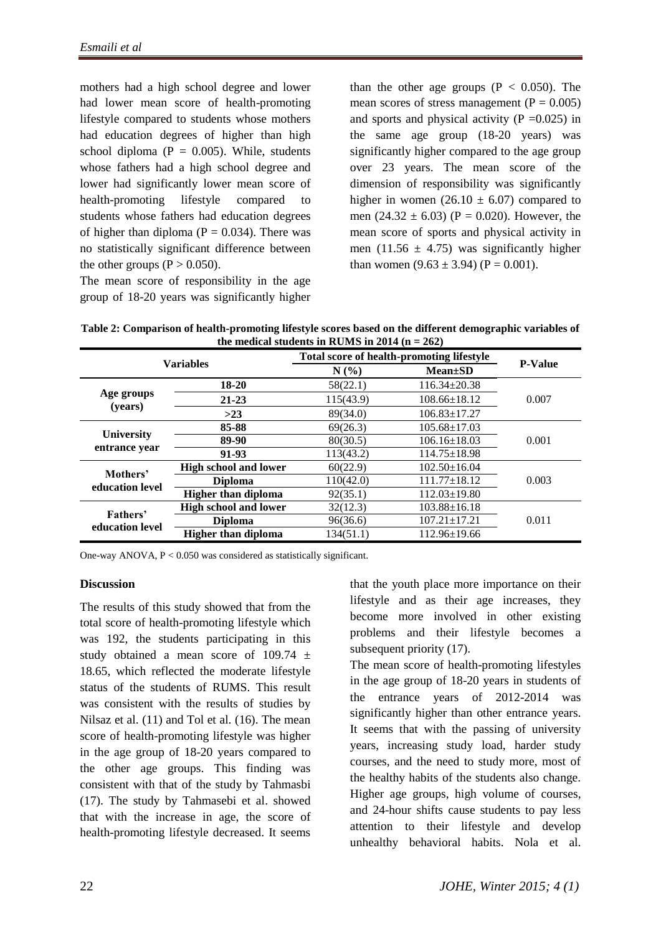mothers had a high school degree and lower had lower mean score of health-promoting lifestyle compared to students whose mothers had education degrees of higher than high school diploma ( $P = 0.005$ ). While, students whose fathers had a high school degree and lower had significantly lower mean score of health-promoting lifestyle compared to students whose fathers had education degrees of higher than diploma ( $P = 0.034$ ). There was no statistically significant difference between the other groups ( $P > 0.050$ ).

The mean score of responsibility in the age group of 18-20 years was significantly higher than the other age groups  $(P < 0.050)$ . The mean scores of stress management ( $P = 0.005$ ) and sports and physical activity ( $P = 0.025$ ) in the same age group (18-20 years) was significantly higher compared to the age group over 23 years. The mean score of the dimension of responsibility was significantly higher in women  $(26.10 \pm 6.07)$  compared to men  $(24.32 \pm 6.03)$  (P = 0.020). However, the mean score of sports and physical activity in men (11.56  $\pm$  4.75) was significantly higher than women  $(9.63 \pm 3.94)$  (P = 0.001).

**Table 2: Comparison of health-promoting lifestyle scores based on the different demographic variables of**  the medical students in RUMS in  $2014$  ( $n = 262$ )

| the incurrent staticities in Kolvio in 2014 (ii = 202) |                              |                                           |                    |                |  |  |
|--------------------------------------------------------|------------------------------|-------------------------------------------|--------------------|----------------|--|--|
| <b>Variables</b>                                       |                              | Total score of health-promoting lifestyle |                    |                |  |  |
|                                                        |                              | N(%)                                      | $Mean \pm SD$      | <b>P-Value</b> |  |  |
| Age groups<br>(years)                                  | 18-20                        | 58(22.1)                                  | $116.34 \pm 20.38$ | 0.007          |  |  |
|                                                        | $21 - 23$                    | 115(43.9)                                 | $108.66 \pm 18.12$ |                |  |  |
|                                                        | $>23$                        | 89(34.0)                                  | $106.83 \pm 17.27$ |                |  |  |
| <b>University</b><br>entrance year                     | 85-88                        | 69(26.3)                                  | $105.68 \pm 17.03$ | 0.001          |  |  |
|                                                        | 89-90                        | 80(30.5)                                  | $106.16 \pm 18.03$ |                |  |  |
|                                                        | 91-93                        | 113(43.2)                                 | $114.75 \pm 18.98$ |                |  |  |
| Mothers'<br>education level                            | <b>High school and lower</b> | 60(22.9)                                  | $102.50 \pm 16.04$ | 0.003          |  |  |
|                                                        | <b>Diploma</b>               | 110(42.0)                                 | $111.77 \pm 18.12$ |                |  |  |
|                                                        | <b>Higher than diploma</b>   | 92(35.1)                                  | $112.03 \pm 19.80$ |                |  |  |
| Fathers'<br>education level                            | <b>High school and lower</b> | 32(12.3)                                  | $103.88 \pm 16.18$ |                |  |  |
|                                                        | <b>Diploma</b>               | 96(36.6)                                  | $107.21 \pm 17.21$ | 0.011          |  |  |
|                                                        | <b>Higher than diploma</b>   | 134(51.1)                                 | $112.96 \pm 19.66$ |                |  |  |

One-way ANOVA, P < 0.050 was considered as statistically significant.

#### **Discussion**

The results of this study showed that from the total score of health-promoting lifestyle which was 192, the students participating in this study obtained a mean score of 109.74 ± 18.65, which reflected the moderate lifestyle status of the students of RUMS. This result was consistent with the results of studies by Nilsaz et al. (11) and Tol et al. (16). The mean score of health-promoting lifestyle was higher in the age group of 18-20 years compared to the other age groups. This finding was consistent with that of the study by Tahmasbi (17). The study by Tahmasebi et al. showed that with the increase in age, the score of health-promoting lifestyle decreased. It seems

that the youth place more importance on their lifestyle and as their age increases, they become more involved in other existing problems and their lifestyle becomes a subsequent priority (17).

The mean score of health-promoting lifestyles in the age group of 18-20 years in students of the entrance years of 2012-2014 was significantly higher than other entrance years. It seems that with the passing of university years, increasing study load, harder study courses, and the need to study more, most of the healthy habits of the students also change. Higher age groups, high volume of courses, and 24-hour shifts cause students to pay less attention to their lifestyle and develop unhealthy behavioral habits. Nola et al.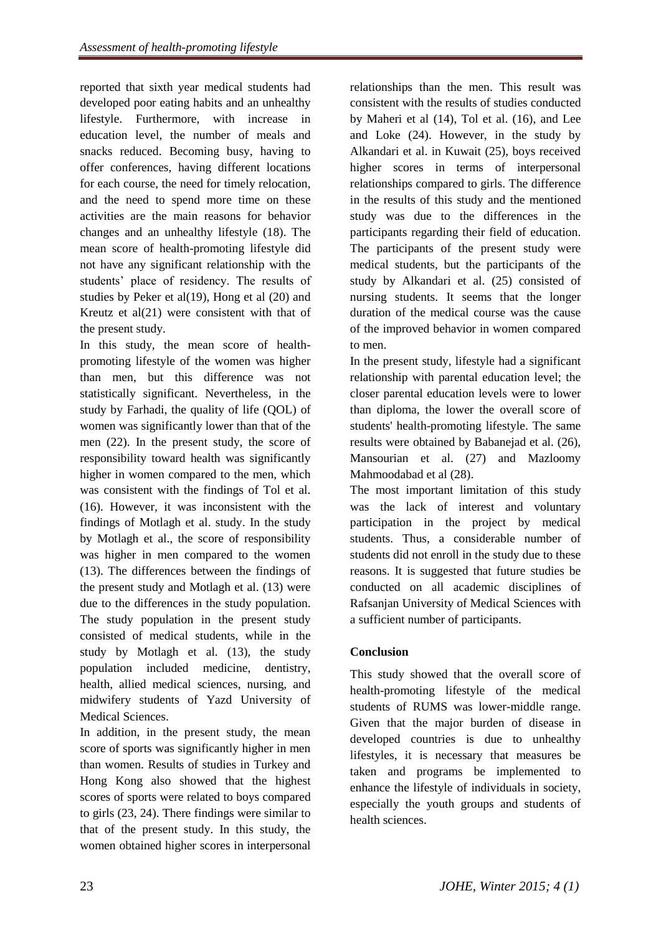reported that sixth year medical students had developed poor eating habits and an unhealthy lifestyle. Furthermore, with increase in education level, the number of meals and snacks reduced. Becoming busy, having to offer conferences, having different locations for each course, the need for timely relocation, and the need to spend more time on these activities are the main reasons for behavior changes and an unhealthy lifestyle (18). The mean score of health-promoting lifestyle did not have any significant relationship with the students' place of residency. The results of studies by Peker et al(19), Hong et al (20) and Kreutz et al(21) were consistent with that of the present study.

In this study, the mean score of healthpromoting lifestyle of the women was higher than men, but this difference was not statistically significant. Nevertheless, in the study by Farhadi, the quality of life (QOL) of women was significantly lower than that of the men (22). In the present study, the score of responsibility toward health was significantly higher in women compared to the men, which was consistent with the findings of Tol et al. (16). However, it was inconsistent with the findings of Motlagh et al. study. In the study by Motlagh et al., the score of responsibility was higher in men compared to the women (13). The differences between the findings of the present study and Motlagh et al. (13) were due to the differences in the study population. The study population in the present study consisted of medical students, while in the study by Motlagh et al. (13), the study population included medicine, dentistry, health, allied medical sciences, nursing, and midwifery students of Yazd University of Medical Sciences.

In addition, in the present study, the mean score of sports was significantly higher in men than women. Results of studies in Turkey and Hong Kong also showed that the highest scores of sports were related to boys compared to girls (23, 24). There findings were similar to that of the present study. In this study, the women obtained higher scores in interpersonal

relationships than the men. This result was consistent with the results of studies conducted by Maheri et al (14), Tol et al. (16), and Lee and Loke (24). However, in the study by Alkandari et al. in Kuwait (25), boys received higher scores in terms of interpersonal relationships compared to girls. The difference in the results of this study and the mentioned study was due to the differences in the participants regarding their field of education. The participants of the present study were medical students, but the participants of the study by Alkandari et al. (25) consisted of nursing students. It seems that the longer duration of the medical course was the cause of the improved behavior in women compared to men.

In the present study, lifestyle had a significant relationship with parental education level; the closer parental education levels were to lower than diploma, the lower the overall score of students' health-promoting lifestyle. The same results were obtained by Babanejad et al. (26), Mansourian et al. (27) and Mazloomy Mahmoodabad et al (28).

The most important limitation of this study was the lack of interest and voluntary participation in the project by medical students. Thus, a considerable number of students did not enroll in the study due to these reasons. It is suggested that future studies be conducted on all academic disciplines of Rafsanjan University of Medical Sciences with a sufficient number of participants.

# **Conclusion**

This study showed that the overall score of health-promoting lifestyle of the medical students of RUMS was lower-middle range. Given that the major burden of disease in developed countries is due to unhealthy lifestyles, it is necessary that measures be taken and programs be implemented to enhance the lifestyle of individuals in society, especially the youth groups and students of health sciences.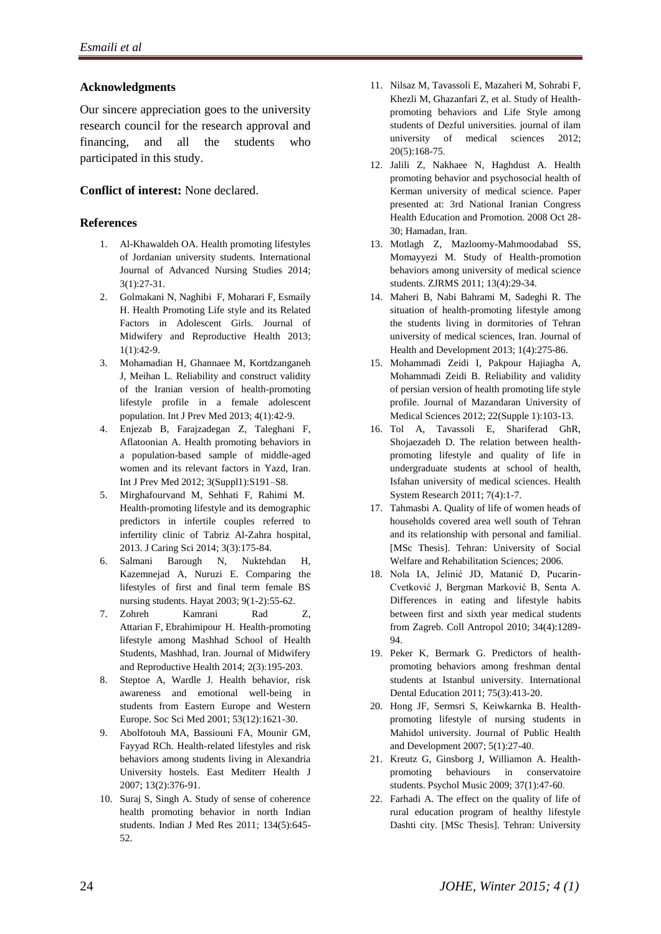### **Acknowledgments**

Our sincere appreciation goes to the university research council for the research approval and financing, and all the students who participated in this study.

### **Conflict of interest:** None declared.

### **References**

- 1. Al-Khawaldeh OA. Health promoting lifestyles of Jordanian university students. International Journal of Advanced Nursing Studies 2014; 3(1):27-31.
- 2. Golmakani N, [Naghibi](http://jmrh.mums.ac.ir/?_action=article&au=15078&_au=Fouzieh++Naghibi) F, [Moharari](http://jmrh.mums.ac.ir/?_action=article&au=15079&_au=Fatemeh++Moharari) F, [Esmaily](http://jmrh.mums.ac.ir/?_action=article&au=15524&_au=Habibollah++Esmaily) H. Health Promoting Life style and its Related Factors in Adolescent Girls. Journal of Midwifery and Reproductive Health 2013; 1(1):42-9.
- 3. Mohamadian H, Ghannaee M, Kortdzanganeh J, Meihan L. Reliability and construct validity of the Iranian version of health-promoting lifestyle profile in a female adolescent population. Int J Prev Med 2013; 4(1):42-9.
- 4. Enjezab B, Farajzadegan Z, Taleghani F, Aflatoonian A. Health promoting behaviors in a population-based sample of middle-aged women and its relevant factors in Yazd, Iran. Int J Prev Med 2012; 3(Suppl1):S191–S8.
- 5. Mirghafourvand M, Sehhati F, Rahimi M. Health-promoting lifestyle and its demographic predictors in infertile couples referred to infertility clinic of Tabriz Al-Zahra hospital, 2013. J Caring Sci 2014; 3(3):175-84.
- 6. Salmani Barough N, Nuktehdan H, Kazemnejad A, Nuruzi E. Comparing the lifestyles of first and final term female BS nursing students. Hayat 2003; 9(1-2):55-62.
- 7. [Zohreh Kamrani Rad](http://jmrh.mums.ac.ir/?_action=article&au=26309&_au=Zohreh++Kamrani+Rad) Z[,](http://jmrh.mums.ac.ir/?_action=article&au=26310&_au=Fahimeh++Attarian) [Attarian](http://jmrh.mums.ac.ir/?_action=article&au=26310&_au=Fahimeh++Attarian) F, [Ebrahimipour H.](http://jmrh.mums.ac.ir/?_action=article&au=26311&_au=Ebrahimi+pour++Hossein) Health-promoting lifestyle among Mashhad School of Health Students, Mashhad, Iran. Journal of Midwifery and Reproductive Health 2014; 2(3):195-203.
- 8. Steptoe A, Wardle J. Health behavior, risk awareness and emotional well-being in students from Eastern Europe and Western Europe. Soc Sci Med 2001; 53(12):1621-30.
- 9. Abolfotouh MA, Bassiouni FA, Mounir GM, Fayyad RCh. Health-related lifestyles and risk behaviors among students living in Alexandria University hostels. East Mediterr Health J 2007; 13(2):376-91.
- 10. Suraj S, Singh A. Study of sense of coherence health promoting behavior in north Indian students. Indian J Med Res 2011; 134(5):645- 52.
- 11. Nilsaz M, Tavassoli E, Mazaheri M, Sohrabi F, Khezli M, Ghazanfari Z, et al. Study of Healthpromoting behaviors and Life Style among students of Dezful universities. journal of ilam university of medical sciences 2012; 20(5):168-75.
- 12. Jalili Z, Nakhaee N, Haghdust A. Health promoting behavior and psychosocial health of Kerman university of medical science. Paper presented at: 3rd National Iranian Congress Health Education and Promotion. 2008 Oct 28- 30; Hamadan, Iran.
- 13. Motlagh Z, Mazloomy-Mahmoodabad SS, Momayyezi M. Study of Health-promotion behaviors among university of medical science students. ZJRMS 2011; 13(4):29-34.
- 14. Maheri B, Nabi Bahrami M, Sadeghi R. The situation of health-promoting lifestyle among the students living in dormitories of Tehran university of medical sciences, Iran. [Journal of](http://en.journals.sid.ir/JournalList.aspx?ID=18778)  [Health and Deve](http://en.journals.sid.ir/JournalList.aspx?ID=18778)lopment [2013;](http://en.journals.sid.ir/JournalListPaper.aspx?ID=128263) 1(4):275-86.
- 15. Mohammadi Zeidi I, Pakpour Hajiagha A, Mohammadi Zeidi B. Reliability and validity of persian version of health promoting life style profile. Journal of Mazandaran University of Medical Sciences 2012; 22(Supple 1):103-13.
- 16. Tol A, Tavassoli E, Shariferad GhR, Shojaezadeh D. The relation between healthpromoting lifestyle and quality of life in undergraduate students at school of health, Isfahan university of medical sciences. Health System Research 2011; 7(4):1-7.
- 17. Tahmasbi A. Quality of life of women heads of households covered area well south of Tehran and its relationship with personal and familial. [MSc Thesis]. Tehran: University of Social Welfare and Rehabilitation Sciences; 2006.
- 18. Nola IA, Jelinić JD, Matanić D, Pucarin-Cvetković J, Bergman Marković B, Senta A. Differences in eating and lifestyle habits between first and sixth year medical students from Zagreb. Coll Antropol 2010; 34(4):1289- 94.
- 19. Peker K, Bermark G. Predictors of healthpromoting behaviors among freshman dental students at Istanbul university. International Dental Education 2011; 75(3):413-20.
- 20. Hong JF, Sermsri S, Keiwkarnka B. Healthpromoting lifestyle of nursing students in Mahidol university. Journal of Public Health and Development 2007; 5(1):27-40.
- 21. Kreutz G, Ginsborg J, Williamon A. Healthpromoting behaviours in conservatoire students. Psychol Music 2009; 37(1):47-60.
- 22. Farhadi A. The effect on the quality of life of rural education program of healthy lifestyle Dashti city. [MSc Thesis]. Tehran: University